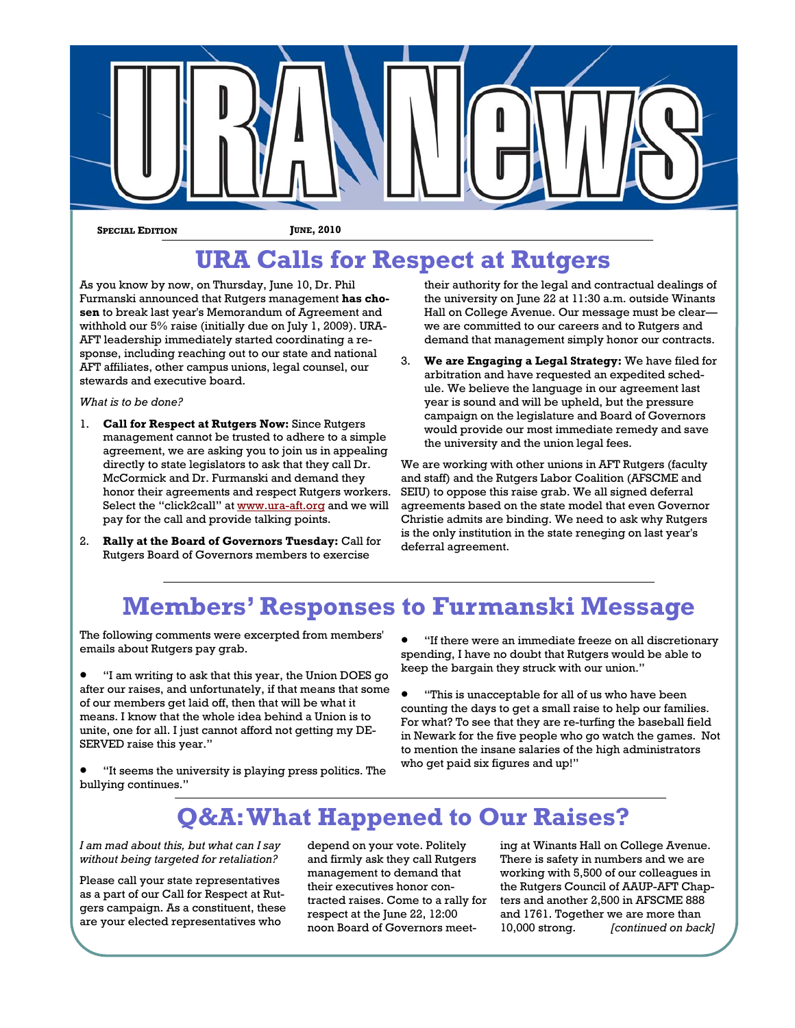

**SPECIAL EDITION JUNE, 2010** 

## **URA Calls for Respect at Rutgers**

As you know by now, on Thursday, June 10, Dr. Phil Furmanski announced that Rutgers management **has chosen** to break last year's Memorandum of Agreement and withhold our 5% raise (initially due on July 1, 2009). URA-AFT leadership immediately started coordinating a response, including reaching out to our state and national AFT affiliates, other campus unions, legal counsel, our stewards and executive board.

#### *What is to be done?*

- 1. **Call for Respect at Rutgers Now:** Since Rutgers management cannot be trusted to adhere to a simple agreement, we are asking you to join us in appealing directly to state legislators to ask that they call Dr. McCormick and Dr. Furmanski and demand they honor their agreements and respect Rutgers workers. Select the "click2call" at www.ura-aft.org and we will pay for the call and provide talking points.
- 2. **Rally at the Board of Governors Tuesday:** Call for Rutgers Board of Governors members to exercise

their authority for the legal and contractual dealings of the university on June 22 at 11:30 a.m. outside Winants Hall on College Avenue. Our message must be clear we are committed to our careers and to Rutgers and demand that management simply honor our contracts.

3. **We are Engaging a Legal Strategy:** We have filed for arbitration and have requested an expedited schedule. We believe the language in our agreement last year is sound and will be upheld, but the pressure campaign on the legislature and Board of Governors would provide our most immediate remedy and save the university and the union legal fees.

We are working with other unions in AFT Rutgers (faculty and staff) and the Rutgers Labor Coalition (AFSCME and SEIU) to oppose this raise grab. We all signed deferral agreements based on the state model that even Governor Christie admits are binding. We need to ask why Rutgers is the only institution in the state reneging on last year's deferral agreement.

## **Members' Responses to Furmanski Message**

The following comments were excerpted from members' emails about Rutgers pay grab.

 "I am writing to ask that this year, the Union DOES go after our raises, and unfortunately, if that means that some of our members get laid off, then that will be what it means. I know that the whole idea behind a Union is to unite, one for all. I just cannot afford not getting my DE-SERVED raise this year."

- "If there were an immediate freeze on all discretionary spending, I have no doubt that Rutgers would be able to keep the bargain they struck with our union."
- "This is unacceptable for all of us who have been counting the days to get a small raise to help our families. For what? To see that they are re-turfing the baseball field in Newark for the five people who go watch the games. Not to mention the insane salaries of the high administrators who get paid six figures and up!"

 "It seems the university is playing press politics. The bullying continues."

### **Q&A: What Happened to Our Raises?**

*I am mad about this, but what can I say without being targeted for retaliation?* 

Please call your state representatives as a part of our Call for Respect at Rutgers campaign. As a constituent, these are your elected representatives who

depend on your vote. Politely and firmly ask they call Rutgers management to demand that their executives honor contracted raises. Come to a rally for respect at the June 22, 12:00 noon Board of Governors meeting at Winants Hall on College Avenue. There is safety in numbers and we are working with 5,500 of our colleagues in the Rutgers Council of AAUP-AFT Chapters and another 2,500 in AFSCME 888 and 1761. Together we are more than 10,000 strong. *[continued on back]*